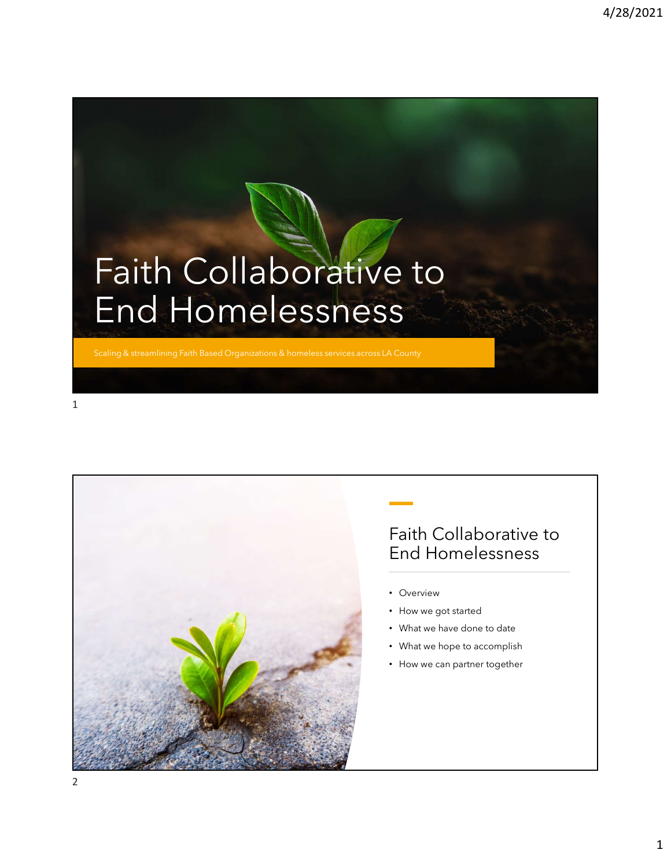## Faith Collaborative to End Homelessness

streamlining Faith Based Organizations & homeless services across LA County



## Faith Collaborative to End Homelessness

- Overview
- How we got started
- What we have done to date
- What we hope to accomplish
- How we can partner together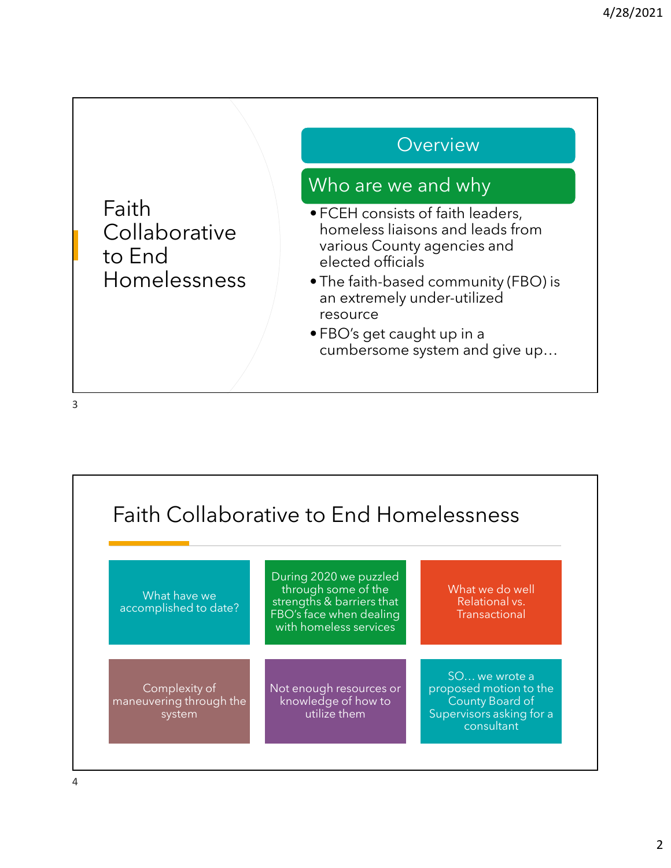

3

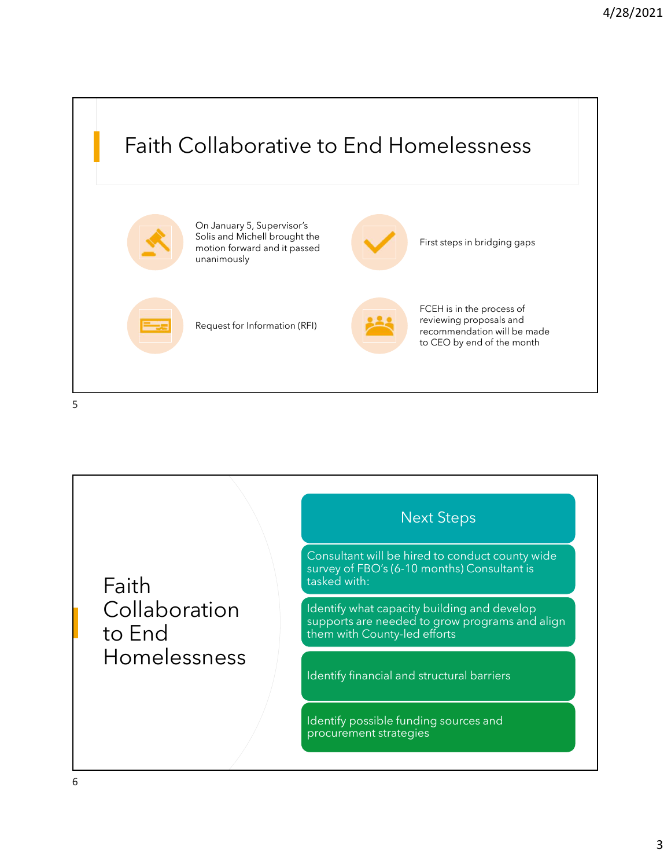